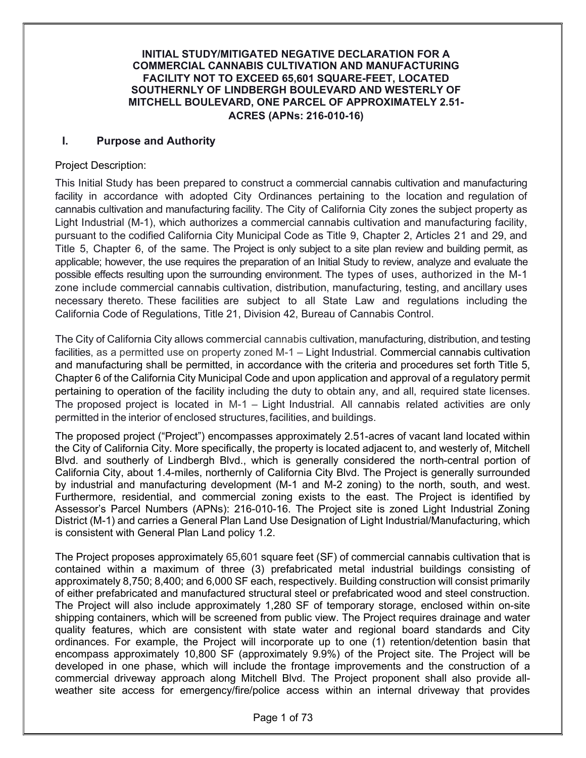#### INITIAL STUDY/MITIGATED NEGATIVE DECLARATION FOR A COMMERCIAL CANNABIS CULTIVATION AND MANUFACTURING FACILITY NOT TO EXCEED 65,601 SQUARE-FEET, LOCATED SOUTHERNLY OF LINDBERGH BOULEVARD AND WESTERLY OF MITCHELL BOULEVARD, ONE PARCEL OF APPROXIMATELY 2.51- ACRES (APNs: 216-010-16)

### I. Purpose and Authority

#### Project Description:

This Initial Study has been prepared to construct a commercial cannabis cultivation and manufacturing facility in accordance with adopted City Ordinances pertaining to the location and regulation of cannabis cultivation and manufacturing facility. The City of California City zones the subject property as Light Industrial (M-1), which authorizes a commercial cannabis cultivation and manufacturing facility, pursuant to the codified California City Municipal Code as Title 9, Chapter 2, Articles 21 and 29, and Title 5, Chapter 6, of the same. The Project is only subject to a site plan review and building permit, as applicable; however, the use requires the preparation of an Initial Study to review, analyze and evaluate the possible effects resulting upon the surrounding environment. The types of uses, authorized in the M-1 zone include commercial cannabis cultivation, distribution, manufacturing, testing, and ancillary uses necessary thereto. These facilities are subject to all State Law and regulations including the California Code of Regulations, Title 21, Division 42, Bureau of Cannabis Control.

The City of California City allows commercial cannabis cultivation, manufacturing, distribution, and testing facilities, as a permitted use on property zoned M-1 – Light Industrial. Commercial cannabis cultivation and manufacturing shall be permitted, in accordance with the criteria and procedures set forth Title 5, Chapter 6 of the California City Municipal Code and upon application and approval of a regulatory permit pertaining to operation of the facility including the duty to obtain any, and all, required state licenses. The proposed project is located in M-1 – Light Industrial. All cannabis related activities are only permitted in the interior of enclosed structures, facilities, and buildings.

The proposed project ("Project") encompasses approximately 2.51-acres of vacant land located within the City of California City. More specifically, the property is located adjacent to, and westerly of, Mitchell Blvd. and southerly of Lindbergh Blvd., which is generally considered the north-central portion of California City, about 1.4-miles, northernly of California City Blvd. The Project is generally surrounded by industrial and manufacturing development (M-1 and M-2 zoning) to the north, south, and west. Furthermore, residential, and commercial zoning exists to the east. The Project is identified by Assessor's Parcel Numbers (APNs): 216-010-16. The Project site is zoned Light Industrial Zoning District (M-1) and carries a General Plan Land Use Designation of Light Industrial/Manufacturing, which is consistent with General Plan Land policy 1.2.

The Project proposes approximately 65,601 square feet (SF) of commercial cannabis cultivation that is contained within a maximum of three (3) prefabricated metal industrial buildings consisting of approximately 8,750; 8,400; and 6,000 SF each, respectively. Building construction will consist primarily of either prefabricated and manufactured structural steel or prefabricated wood and steel construction. The Project will also include approximately 1,280 SF of temporary storage, enclosed within on-site shipping containers, which will be screened from public view. The Project requires drainage and water quality features, which are consistent with state water and regional board standards and City ordinances. For example, the Project will incorporate up to one (1) retention/detention basin that encompass approximately 10,800 SF (approximately 9.9%) of the Project site. The Project will be developed in one phase, which will include the frontage improvements and the construction of a commercial driveway approach along Mitchell Blvd. The Project proponent shall also provide allweather site access for emergency/fire/police access within an internal driveway that provides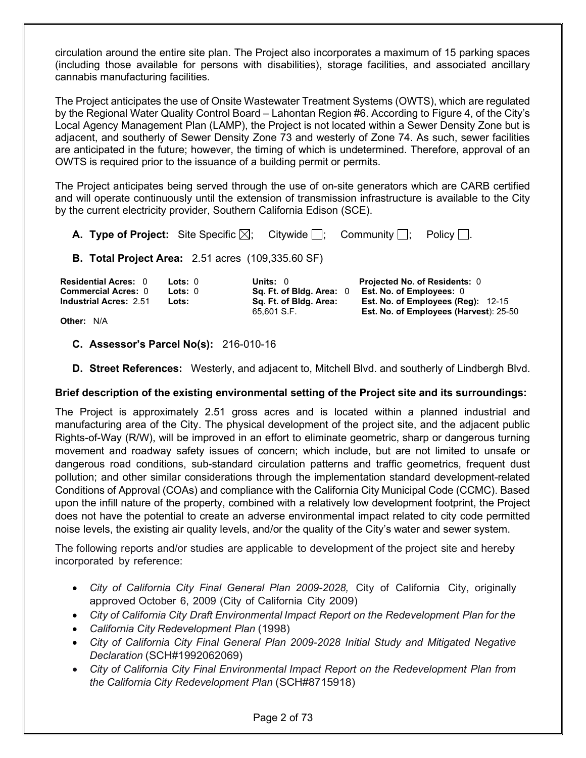circulation around the entire site plan. The Project also incorporates a maximum of 15 parking spaces (including those available for persons with disabilities), storage facilities, and associated ancillary cannabis manufacturing facilities.

The Project anticipates the use of Onsite Wastewater Treatment Systems (OWTS), which are regulated by the Regional Water Quality Control Board – Lahontan Region #6. According to Figure 4, of the City's Local Agency Management Plan (LAMP), the Project is not located within a Sewer Density Zone but is adjacent, and southerly of Sewer Density Zone 73 and westerly of Zone 74. As such, sewer facilities are anticipated in the future; however, the timing of which is undetermined. Therefore, approval of an OWTS is required prior to the issuance of a building permit or permits.

The Project anticipates being served through the use of on-site generators which are CARB certified and will operate continuously until the extension of transmission infrastructure is available to the City by the current electricity provider, Southern California Edison (SCE).

| <b>A. Type of Project:</b> Site Specific $\boxtimes$ ; Citywide $\Box$ ; Community $\Box$ ;                                          |  |                                                                  |  |                                                                                                        | Policy $  \cdot  $ .                   |  |
|--------------------------------------------------------------------------------------------------------------------------------------|--|------------------------------------------------------------------|--|--------------------------------------------------------------------------------------------------------|----------------------------------------|--|
| <b>B. Total Project Area: 2.51 acres (109,335.60 SF)</b>                                                                             |  |                                                                  |  |                                                                                                        |                                        |  |
| <b>Residential Acres: 0</b><br>$\textsf{Lots}: 0$<br><b>Commercial Acres: 0</b><br>Lots: 0<br><b>Industrial Acres: 2.51</b><br>Lots: |  | Units: $0$<br>Sq. Ft. of Bldg. Area: 0<br>Sq. Ft. of Bldg. Area: |  | Projected No. of Residents: 0<br>Est. No. of Employees: 0<br><b>Est. No. of Employees (Reg): 12-15</b> |                                        |  |
| <b>Other: N/A</b>                                                                                                                    |  | 65,601 S.F.                                                      |  |                                                                                                        | Est. No. of Employees (Harvest): 25-50 |  |

**Other: N/A** 

### C. Assessor's Parcel No(s): 216-010-16

D. Street References: Westerly, and adjacent to, Mitchell Blvd. and southerly of Lindbergh Blvd.

### Brief description of the existing environmental setting of the Project site and its surroundings:

The Project is approximately 2.51 gross acres and is located within a planned industrial and manufacturing area of the City. The physical development of the project site, and the adjacent public Rights-of-Way (R/W), will be improved in an effort to eliminate geometric, sharp or dangerous turning movement and roadway safety issues of concern; which include, but are not limited to unsafe or dangerous road conditions, sub-standard circulation patterns and traffic geometrics, frequent dust pollution; and other similar considerations through the implementation standard development-related Conditions of Approval (COAs) and compliance with the California City Municipal Code (CCMC). Based upon the infill nature of the property, combined with a relatively low development footprint, the Project does not have the potential to create an adverse environmental impact related to city code permitted noise levels, the existing air quality levels, and/or the quality of the City's water and sewer system.

The following reports and/or studies are applicable to development of the project site and hereby incorporated by reference:

- City of California City Final General Plan 2009-2028, City of California City, originally approved October 6, 2009 (City of California City 2009)
- City of California City Draft Environmental Impact Report on the Redevelopment Plan for the
- California City Redevelopment Plan (1998)
- City of California City Final General Plan 2009-2028 Initial Study and Mitigated Negative Declaration (SCH#1992062069)
- City of California City Final Environmental Impact Report on the Redevelopment Plan from the California City Redevelopment Plan (SCH#8715918)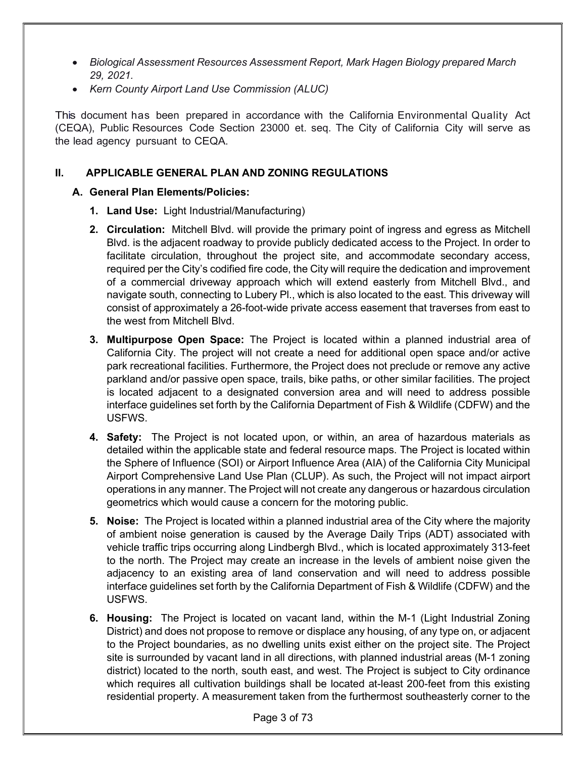- Biological Assessment Resources Assessment Report, Mark Hagen Biology prepared March 29, 2021.
- Kern County Airport Land Use Commission (ALUC)

This document has been prepared in accordance with the California Environmental Quality Act (CEQA), Public Resources Code Section 23000 et. seq. The City of California City will serve as the lead agency pursuant to CEQA.

# II. APPLICABLE GENERAL PLAN AND ZONING REGULATIONS

# A. General Plan Elements/Policies:

- 1. Land Use: Light Industrial/Manufacturing)
- 2. Circulation: Mitchell Blvd. will provide the primary point of ingress and egress as Mitchell Blvd. is the adjacent roadway to provide publicly dedicated access to the Project. In order to facilitate circulation, throughout the project site, and accommodate secondary access, required per the City's codified fire code, the City will require the dedication and improvement of a commercial driveway approach which will extend easterly from Mitchell Blvd., and navigate south, connecting to Lubery Pl., which is also located to the east. This driveway will consist of approximately a 26-foot-wide private access easement that traverses from east to the west from Mitchell Blvd.
- 3. Multipurpose Open Space: The Project is located within a planned industrial area of California City. The project will not create a need for additional open space and/or active park recreational facilities. Furthermore, the Project does not preclude or remove any active parkland and/or passive open space, trails, bike paths, or other similar facilities. The project is located adjacent to a designated conversion area and will need to address possible interface guidelines set forth by the California Department of Fish & Wildlife (CDFW) and the USFWS.
- **4. Safety:** The Project is not located upon, or within, an area of hazardous materials as detailed within the applicable state and federal resource maps. The Project is located within the Sphere of Influence (SOI) or Airport Influence Area (AIA) of the California City Municipal Airport Comprehensive Land Use Plan (CLUP). As such, the Project will not impact airport operations in any manner. The Project will not create any dangerous or hazardous circulation geometrics which would cause a concern for the motoring public.
- 5. Noise: The Project is located within a planned industrial area of the City where the majority of ambient noise generation is caused by the Average Daily Trips (ADT) associated with vehicle traffic trips occurring along Lindbergh Blvd., which is located approximately 313-feet to the north. The Project may create an increase in the levels of ambient noise given the adjacency to an existing area of land conservation and will need to address possible interface guidelines set forth by the California Department of Fish & Wildlife (CDFW) and the USFWS.
- 6. Housing: The Project is located on vacant land, within the M-1 (Light Industrial Zoning District) and does not propose to remove or displace any housing, of any type on, or adjacent to the Project boundaries, as no dwelling units exist either on the project site. The Project site is surrounded by vacant land in all directions, with planned industrial areas (M-1 zoning district) located to the north, south east, and west. The Project is subject to City ordinance which requires all cultivation buildings shall be located at-least 200-feet from this existing residential property. A measurement taken from the furthermost southeasterly corner to the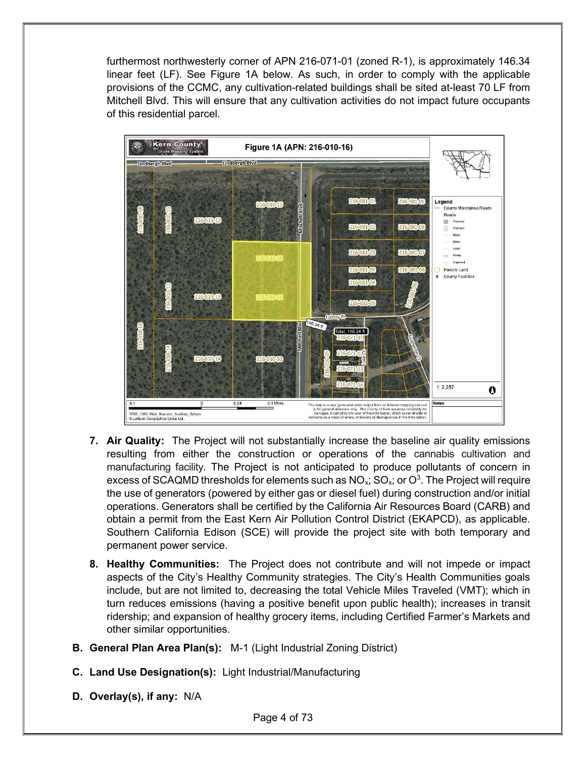furthermost northwesterly corner of APN 216-071-01 (zoned R-1), is approximately 146.34 linear feet (LF). See Figure 1A below. As such, in order to comply with the applicable provisions of the CCMC, any cultivation-related buildings shall be sited at-least 70 LF from Mitchell Blvd. This will ensure that any cultivation activities do not impact future occupants of this residential parcel.



- **7. Air Quality:** The Project will not substantially increase the baseline air quality emissions resulting from either the construction or operations of the cannabis cultivation and manufacturing facility. The Project is not anticipated to produce pollutants of concern in excess of SCAQMD thresholds for elements such as  $NO_x$ ; SO $_x$ ; or  $O^3$ . The Project will require the use of generators (powered by either gas or diesel fuel) during construction and/or initial operations. Generators shall be certified by the California Air Resources Board (CARB) and obtain a permit from the East Kern Air Pollution Control District (EKAPCD), as applicable. Southern California Edison (SCE) will provide the project site with both temporary and permanent power service.
- 8. Healthy Communities: The Project does not contribute and will not impede or impact aspects of the City's Healthy Community strategies. The City's Health Communities goals include, but are not limited to, decreasing the total Vehicle Miles Traveled (VMT); which in turn reduces emissions (having a positive benefit upon public health); increases in transit ridership; and expansion of healthy grocery items, including Certified Farmer's Markets and other similar opportunities.
- B. General Plan Area Plan(s): M-1 (Light Industrial Zoning District)
- C. Land Use Designation(s): Light Industrial/Manufacturing
- D. Overlay(s), if any: N/A